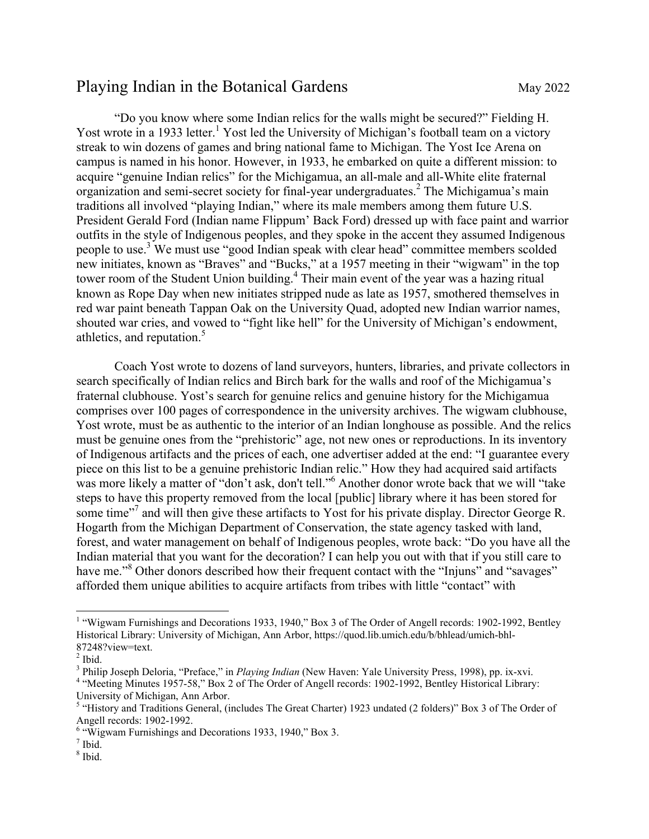## Playing Indian in the Botanical Gardens May 2022

"Do you know where some Indian relics for the walls might be secured?" Fielding H. Yost wrote in a 1933 letter.<sup>1</sup> Yost led the University of Michigan's football team on a victory streak to win dozens of games and bring national fame to Michigan. The Yost Ice Arena on campus is named in his honor. However, in 1933, he embarked on quite a different mission: to acquire "genuine Indian relics" for the Michigamua, an all-male and all-White elite fraternal organization and semi-secret society for final-year undergraduates.<sup>2</sup> The Michigamua's main traditions all involved "playing Indian," where its male members among them future U.S. President Gerald Ford (Indian name Flippum' Back Ford) dressed up with face paint and warrior outfits in the style of Indigenous peoples, and they spoke in the accent they assumed Indigenous people to use.<sup>3</sup> We must use "good Indian speak with clear head" committee members scolded new initiates, known as "Braves" and "Bucks," at a 1957 meeting in their "wigwam" in the top tower room of the Student Union building.<sup>4</sup> Their main event of the year was a hazing ritual known as Rope Day when new initiates stripped nude as late as 1957, smothered themselves in red war paint beneath Tappan Oak on the University Quad, adopted new Indian warrior names, shouted war cries, and vowed to "fight like hell" for the University of Michigan's endowment, athletics, and reputation.<sup>5</sup>

Coach Yost wrote to dozens of land surveyors, hunters, libraries, and private collectors in search specifically of Indian relics and Birch bark for the walls and roof of the Michigamua's fraternal clubhouse. Yost's search for genuine relics and genuine history for the Michigamua comprises over 100 pages of correspondence in the university archives. The wigwam clubhouse, Yost wrote, must be as authentic to the interior of an Indian longhouse as possible. And the relics must be genuine ones from the "prehistoric" age, not new ones or reproductions. In its inventory of Indigenous artifacts and the prices of each, one advertiser added at the end: "I guarantee every piece on this list to be a genuine prehistoric Indian relic." How they had acquired said artifacts was more likely a matter of "don't ask, don't tell."<sup>6</sup> Another donor wrote back that we will "take steps to have this property removed from the local [public] library where it has been stored for some time"<sup>7</sup> and will then give these artifacts to Yost for his private display. Director George R. Hogarth from the Michigan Department of Conservation, the state agency tasked with land, forest, and water management on behalf of Indigenous peoples, wrote back: "Do you have all the Indian material that you want for the decoration? I can help you out with that if you still care to have me."<sup>8</sup> Other donors described how their frequent contact with the "Injuns" and "savages" afforded them unique abilities to acquire artifacts from tribes with little "contact" with

7 Ibid.

<sup>&</sup>lt;sup>1</sup> "Wigwam Furnishings and Decorations 1933, 1940," Box 3 of The Order of Angell records: 1902-1992, Bentley Historical Library: University of Michigan, Ann Arbor, https://quod.lib.umich.edu/b/bhlead/umich-bhl-87248?view=text. <sup>2</sup>

 $<sup>2</sup>$  Ibid.</sup>

<sup>&</sup>lt;sup>3</sup> Philip Joseph Deloria, "Preface," in *Playing Indian* (New Haven: Yale University Press, 1998), pp. ix-xvi.<br><sup>4</sup> "Meeting Minutes 1957.58." Boy 2 of The Order of Angell records: 1902, 1902. Bontlay Historiaal Library

<sup>&</sup>quot;Meeting Minutes 1957-58," Box 2 of The Order of Angell records: 1902-1992, Bentley Historical Library: University of Michigan, Ann Arbor.

<sup>&</sup>lt;sup>5</sup> "History and Traditions General, (includes The Great Charter) 1923 undated (2 folders)" Box 3 of The Order of Angell records: 1902-1992. <sup>6</sup>

 $6 \frac{\text{W}}{\text{W}}$  "Wigwam Furnishings and Decorations 1933, 1940," Box 3.

<sup>8</sup> Ibid.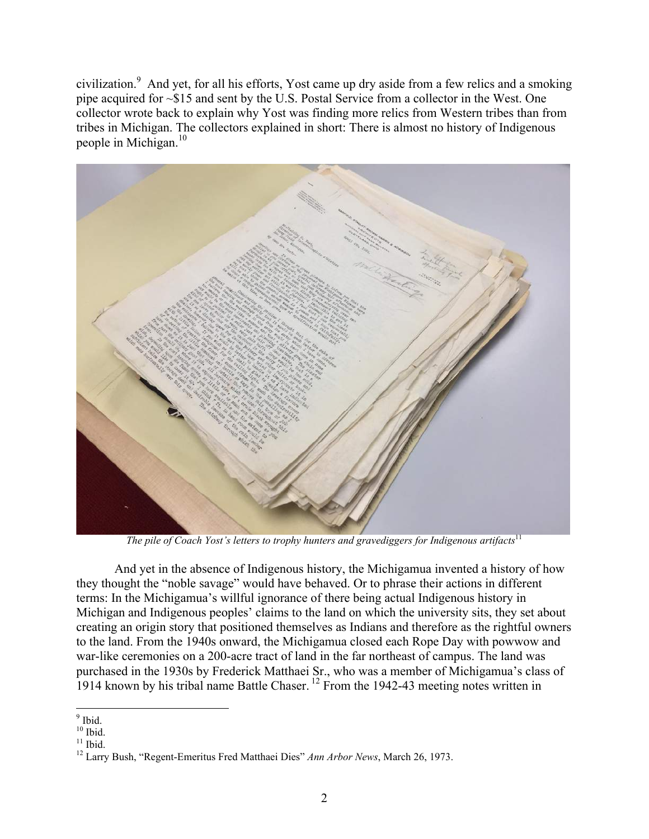civilization.<sup>9</sup> And yet, for all his efforts, Yost came up dry aside from a few relics and a smoking pipe acquired for ~\$15 and sent by the U.S. Postal Service from a collector in the West. One collector wrote back to explain why Yost was finding more relics from Western tribes than from tribes in Michigan. The collectors explained in short: There is almost no history of Indigenous people in Michigan. $10$ 



*The pile of Coach Yost's letters to trophy hunters and gravediggers for Indigenous artifacts*<sup>11</sup>

And yet in the absence of Indigenous history, the Michigamua invented a history of how they thought the "noble savage" would have behaved. Or to phrase their actions in different terms: In the Michigamua's willful ignorance of there being actual Indigenous history in Michigan and Indigenous peoples' claims to the land on which the university sits, they set about creating an origin story that positioned themselves as Indians and therefore as the rightful owners to the land. From the 1940s onward, the Michigamua closed each Rope Day with powwow and war-like ceremonies on a 200-acre tract of land in the far northeast of campus. The land was purchased in the 1930s by Frederick Matthaei Sr., who was a member of Michigamua's class of 1914 known by his tribal name Battle Chaser. 12 From the 1942-43 meeting notes written in

 $9$  Ibid  $<sup>9</sup>$  Ibid.</sup>

 $10$  Ibid.

 $11$  Ibid.

<sup>12</sup> Larry Bush, "Regent-Emeritus Fred Matthaei Dies" *Ann Arbor News*, March 26, 1973.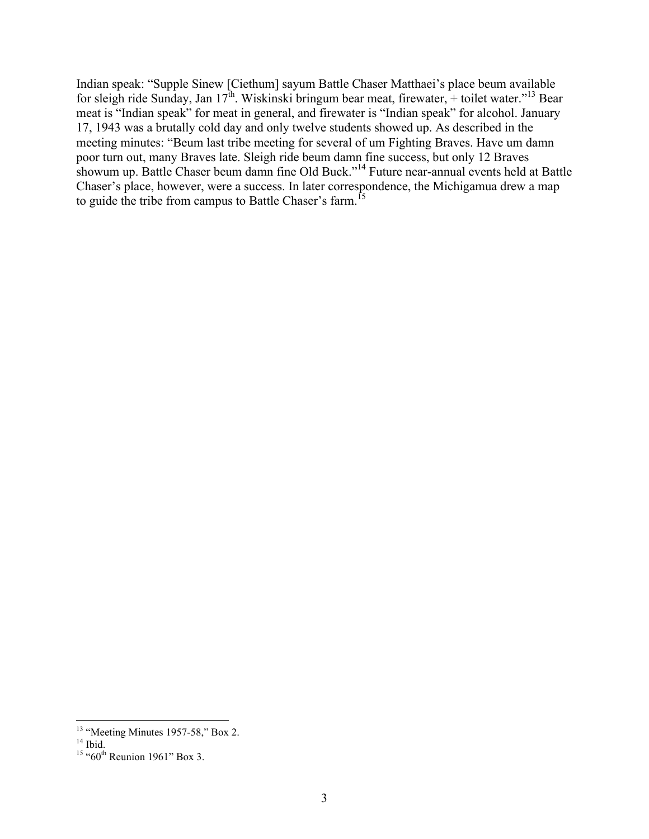Indian speak: "Supple Sinew [Ciethum] sayum Battle Chaser Matthaei's place beum available for sleigh ride Sunday, Jan  $17^{\text{th}}$ . Wiskinski bringum bear meat, firewater, + toilet water."<sup>13</sup> Bear meat is "Indian speak" for meat in general, and firewater is "Indian speak" for alcohol. January 17, 1943 was a brutally cold day and only twelve students showed up. As described in the meeting minutes: "Beum last tribe meeting for several of um Fighting Braves. Have um damn poor turn out, many Braves late. Sleigh ride beum damn fine success, but only 12 Braves showum up. Battle Chaser beum damn fine Old Buck."14 Future near-annual events held at Battle Chaser's place, however, were a success. In later correspondence, the Michigamua drew a map to guide the tribe from campus to Battle Chaser's farm.<sup>15</sup>

<sup>&</sup>lt;sup>13</sup> "Meeting Minutes 1957-58," Box 2.<sup>14</sup> Ibid

 $15 \cdot 60$ <sup>th</sup> Reunion 1961" Box 3.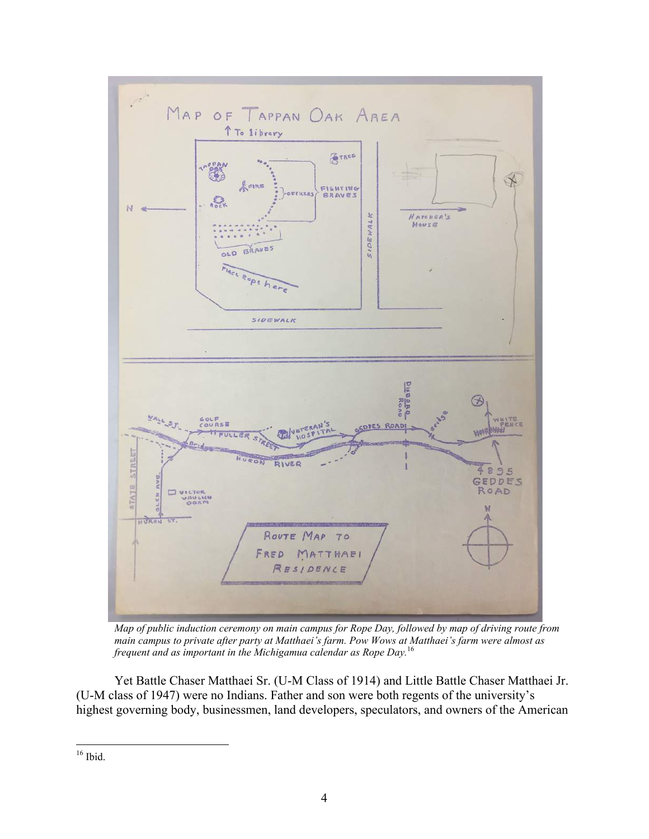

*Map of public induction ceremony on main campus for Rope Day, followed by map of driving route from main campus to private after party at Matthaei's farm. Pow Wows at Matthaei's farm were almost as frequent and as important in the Michigamua calendar as Rope Day.*<sup>16</sup>

Yet Battle Chaser Matthaei Sr. (U-M Class of 1914) and Little Battle Chaser Matthaei Jr. (U-M class of 1947) were no Indians. Father and son were both regents of the university's highest governing body, businessmen, land developers, speculators, and owners of the American

 $16$  Ibid.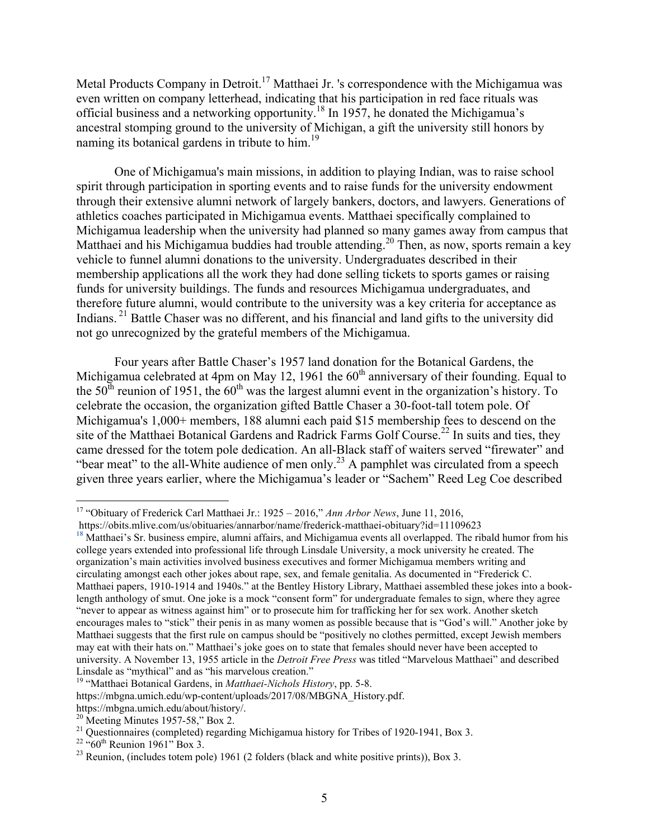Metal Products Company in Detroit.<sup>17</sup> Matthaei Jr. 's correspondence with the Michigamua was even written on company letterhead, indicating that his participation in red face rituals was official business and a networking opportunity.18 In 1957, he donated the Michigamua's ancestral stomping ground to the university of Michigan, a gift the university still honors by naming its botanical gardens in tribute to  $\lim_{n \to \infty}$  <sup>19</sup>

One of Michigamua's main missions, in addition to playing Indian, was to raise school spirit through participation in sporting events and to raise funds for the university endowment through their extensive alumni network of largely bankers, doctors, and lawyers. Generations of athletics coaches participated in Michigamua events. Matthaei specifically complained to Michigamua leadership when the university had planned so many games away from campus that Matthaei and his Michigamua buddies had trouble attending.<sup>20</sup> Then, as now, sports remain a key vehicle to funnel alumni donations to the university. Undergraduates described in their membership applications all the work they had done selling tickets to sports games or raising funds for university buildings. The funds and resources Michigamua undergraduates, and therefore future alumni, would contribute to the university was a key criteria for acceptance as Indians.<sup>21</sup> Battle Chaser was no different, and his financial and land gifts to the university did not go unrecognized by the grateful members of the Michigamua.

Four years after Battle Chaser's 1957 land donation for the Botanical Gardens, the Michigamua celebrated at 4pm on May 12, 1961 the  $60<sup>th</sup>$  anniversary of their founding. Equal to the  $50<sup>th</sup>$  reunion of 1951, the  $60<sup>th</sup>$  was the largest alumni event in the organization's history. To celebrate the occasion, the organization gifted Battle Chaser a 30-foot-tall totem pole. Of Michigamua's 1,000+ members, 188 alumni each paid \$15 membership fees to descend on the site of the Matthaei Botanical Gardens and Radrick Farms Golf Course.<sup>22</sup> In suits and ties, they came dressed for the totem pole dedication. An all-Black staff of waiters served "firewater" and "bear meat" to the all-White audience of men only.<sup>23</sup> A pamphlet was circulated from a speech given three years earlier, where the Michigamua's leader or "Sachem" Reed Leg Coe described

 17 "Obituary of Frederick Carl Matthaei Jr.: 1925 – 2016," *Ann Arbor News*, June 11, 2016,

https://obits.mlive.com/us/obituaries/annarbor/name/frederick-matthaei-obituary?id=11109623 **<sup>18</sup>** Matthaei's Sr. business empire, alumni affairs, and Michigamua events all overlapped. The ribald humor from his college years extended into professional life through Linsdale University, a mock university he created. The organization's main activities involved business executives and former Michigamua members writing and circulating amongst each other jokes about rape, sex, and female genitalia. As documented in "Frederick C. Matthaei papers, 1910-1914 and 1940s." at the Bentley History Library, Matthaei assembled these jokes into a booklength anthology of smut. One joke is a mock "consent form" for undergraduate females to sign, where they agree "never to appear as witness against him" or to prosecute him for trafficking her for sex work. Another sketch encourages males to "stick" their penis in as many women as possible because that is "God's will." Another joke by Matthaei suggests that the first rule on campus should be "positively no clothes permitted, except Jewish members may eat with their hats on." Matthaei's joke goes on to state that females should never have been accepted to university. A November 13, 1955 article in the *Detroit Free Press* was titled "Marvelous Matthaei" and described Linsdale as "mythical" and as "his marvelous creation."

<sup>19 &</sup>quot;Matthaei Botanical Gardens, in *Matthaei-Nichols History*, pp. 5-8.

https://mbgna.umich.edu/wp-content/uploads/2017/08/MBGNA\_History.pdf.

https://mbgna.umich.edu/about/history/.<br>
<sup>20</sup> Meeting Minutes 1957-58," Box 2.<br>
<sup>21</sup> Questionnaires (completed) regarding Michigamua history for Tribes of 1920-1941, Box 3.<br>
<sup>22</sup> "60<sup>th</sup> Reunion 1961" Box 3.<br>
<sup>23</sup> Reunion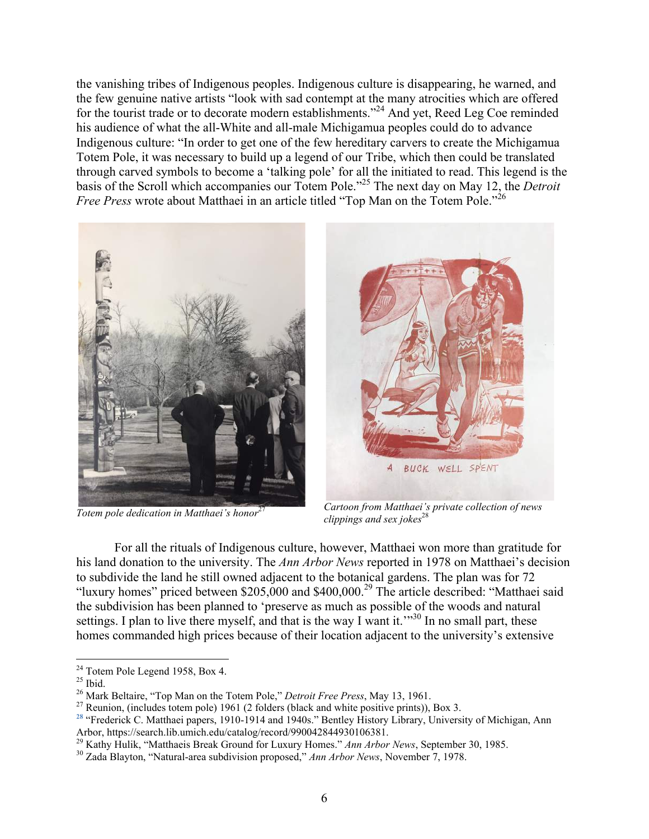the vanishing tribes of Indigenous peoples. Indigenous culture is disappearing, he warned, and the few genuine native artists "look with sad contempt at the many atrocities which are offered for the tourist trade or to decorate modern establishments."<sup>24</sup> And yet, Reed Leg Coe reminded his audience of what the all-White and all-male Michigamua peoples could do to advance Indigenous culture: "In order to get one of the few hereditary carvers to create the Michigamua Totem Pole, it was necessary to build up a legend of our Tribe, which then could be translated through carved symbols to become a 'talking pole' for all the initiated to read. This legend is the basis of the Scroll which accompanies our Totem Pole."25 The next day on May 12, the *Detroit Free Press* wrote about Matthaei in an article titled "Top Man on the Totem Pole."<sup>26</sup>





*Totem pole dedication in Matthaei's honor*<sup>27</sup> *Cartoon from Matthaei's private collection of news clippings and sex jokes*<sup>28</sup>

For all the rituals of Indigenous culture, however, Matthaei won more than gratitude for his land donation to the university. The *Ann Arbor News* reported in 1978 on Matthaei's decision to subdivide the land he still owned adjacent to the botanical gardens. The plan was for 72 "luxury homes" priced between \$205,000 and \$400,000.29 The article described: "Matthaei said the subdivision has been planned to 'preserve as much as possible of the woods and natural settings. I plan to live there myself, and that is the way I want it.<sup>"30</sup> In no small part, these homes commanded high prices because of their location adjacent to the university's extensive

<sup>&</sup>lt;sup>24</sup> Totem Pole Legend 1958, Box 4.

<sup>&</sup>lt;sup>25</sup> Ibid.<br><sup>26</sup> Mark Beltaire, "Top Man on the Totem Pole," *Detroit Free Press*, May 13, 1961.

<sup>&</sup>lt;sup>27</sup> Reunion, (includes totem pole) 1961 (2 folders (black and white positive prints)), Box 3.

<sup>&</sup>lt;sup>28</sup> "Frederick C. Matthaei papers, 1910-1914 and 1940s." Bentley History Library, University of Michigan, Ann Arbor, https://search.lib.umich.edu/catalog/record/990042844930106381.

<sup>&</sup>lt;sup>29</sup> Kathy Hulik, "Matthaeis Break Ground for Luxury Homes." Ann Arbor News, September 30, 1985.<br><sup>30</sup> Zada Blayton, "Natural-area subdivision proposed," Ann Arbor News, November 7, 1978.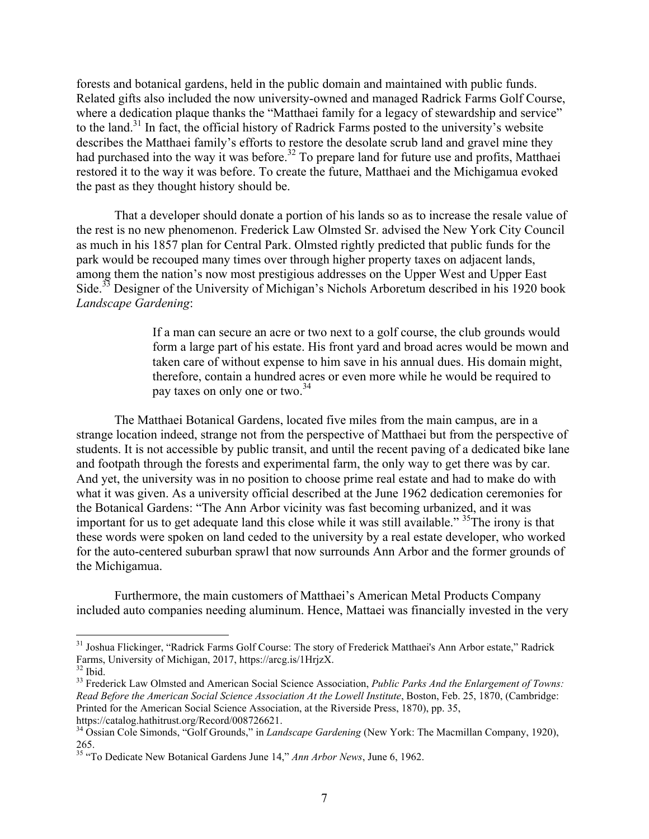forests and botanical gardens, held in the public domain and maintained with public funds. Related gifts also included the now university-owned and managed Radrick Farms Golf Course, where a dedication plaque thanks the "Matthaei family for a legacy of stewardship and service" to the land.<sup>31</sup> In fact, the official history of Radrick Farms posted to the university's website describes the Matthaei family's efforts to restore the desolate scrub land and gravel mine they had purchased into the way it was before.<sup>32</sup> To prepare land for future use and profits, Matthaei restored it to the way it was before. To create the future, Matthaei and the Michigamua evoked the past as they thought history should be.

That a developer should donate a portion of his lands so as to increase the resale value of the rest is no new phenomenon. Frederick Law Olmsted Sr. advised the New York City Council as much in his 1857 plan for Central Park. Olmsted rightly predicted that public funds for the park would be recouped many times over through higher property taxes on adjacent lands, among them the nation's now most prestigious addresses on the Upper West and Upper East Side.<sup>33</sup> Designer of the University of Michigan's Nichols Arboretum described in his 1920 book *Landscape Gardening*:

> If a man can secure an acre or two next to a golf course, the club grounds would form a large part of his estate. His front yard and broad acres would be mown and taken care of without expense to him save in his annual dues. His domain might, therefore, contain a hundred acres or even more while he would be required to pay taxes on only one or two.<sup>34</sup>

The Matthaei Botanical Gardens, located five miles from the main campus, are in a strange location indeed, strange not from the perspective of Matthaei but from the perspective of students. It is not accessible by public transit, and until the recent paving of a dedicated bike lane and footpath through the forests and experimental farm, the only way to get there was by car. And yet, the university was in no position to choose prime real estate and had to make do with what it was given. As a university official described at the June 1962 dedication ceremonies for the Botanical Gardens: "The Ann Arbor vicinity was fast becoming urbanized, and it was important for us to get adequate land this close while it was still available."  $35$ The irony is that these words were spoken on land ceded to the university by a real estate developer, who worked for the auto-centered suburban sprawl that now surrounds Ann Arbor and the former grounds of the Michigamua.

Furthermore, the main customers of Matthaei's American Metal Products Company included auto companies needing aluminum. Hence, Mattaei was financially invested in the very

<sup>&</sup>lt;sup>31</sup> Joshua Flickinger, "Radrick Farms Golf Course: The story of Frederick Matthaei's Ann Arbor estate," Radrick Farms, University of Michigan, 2017, https://arcg.is/1HrjzX. 32 Ibid.

<sup>33</sup> Frederick Law Olmsted and American Social Science Association, *Public Parks And the Enlargement of Towns: Read Before the American Social Science Association At the Lowell Institute*, Boston, Feb. 25, 1870, (Cambridge: Printed for the American Social Science Association, at the Riverside Press, 1870), pp. 35, https://catalog.hathitrust.org/Record/008726621.

<sup>&</sup>lt;sup>34</sup> Ossian Cole Simonds, "Golf Grounds," in *Landscape Gardening* (New York: The Macmillan Company, 1920), 265.

<sup>35 &</sup>quot;To Dedicate New Botanical Gardens June 14," *Ann Arbor News*, June 6, 1962.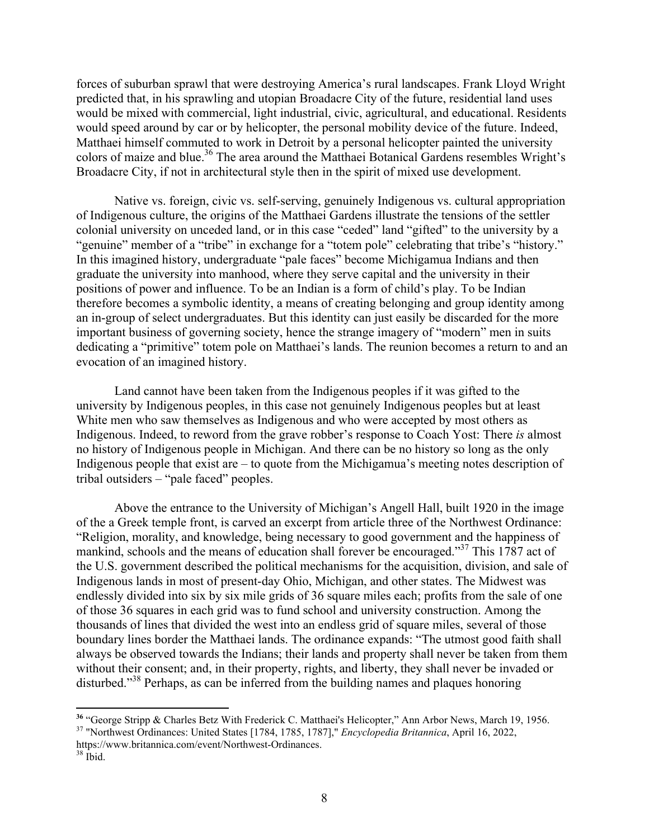forces of suburban sprawl that were destroying America's rural landscapes. Frank Lloyd Wright predicted that, in his sprawling and utopian Broadacre City of the future, residential land uses would be mixed with commercial, light industrial, civic, agricultural, and educational. Residents would speed around by car or by helicopter, the personal mobility device of the future. Indeed, Matthaei himself commuted to work in Detroit by a personal helicopter painted the university colors of maize and blue.<sup>36</sup> The area around the Matthaei Botanical Gardens resembles Wright's Broadacre City, if not in architectural style then in the spirit of mixed use development.

Native vs. foreign, civic vs. self-serving, genuinely Indigenous vs. cultural appropriation of Indigenous culture, the origins of the Matthaei Gardens illustrate the tensions of the settler colonial university on unceded land, or in this case "ceded" land "gifted" to the university by a "genuine" member of a "tribe" in exchange for a "totem pole" celebrating that tribe's "history." In this imagined history, undergraduate "pale faces" become Michigamua Indians and then graduate the university into manhood, where they serve capital and the university in their positions of power and influence. To be an Indian is a form of child's play. To be Indian therefore becomes a symbolic identity, a means of creating belonging and group identity among an in-group of select undergraduates. But this identity can just easily be discarded for the more important business of governing society, hence the strange imagery of "modern" men in suits dedicating a "primitive" totem pole on Matthaei's lands. The reunion becomes a return to and an evocation of an imagined history.

Land cannot have been taken from the Indigenous peoples if it was gifted to the university by Indigenous peoples, in this case not genuinely Indigenous peoples but at least White men who saw themselves as Indigenous and who were accepted by most others as Indigenous. Indeed, to reword from the grave robber's response to Coach Yost: There *is* almost no history of Indigenous people in Michigan. And there can be no history so long as the only Indigenous people that exist are – to quote from the Michigamua's meeting notes description of tribal outsiders – "pale faced" peoples.

Above the entrance to the University of Michigan's Angell Hall, built 1920 in the image of the a Greek temple front, is carved an excerpt from article three of the Northwest Ordinance: "Religion, morality, and knowledge, being necessary to good government and the happiness of mankind, schools and the means of education shall forever be encouraged."<sup>37</sup> This 1787 act of the U.S. government described the political mechanisms for the acquisition, division, and sale of Indigenous lands in most of present-day Ohio, Michigan, and other states. The Midwest was endlessly divided into six by six mile grids of 36 square miles each; profits from the sale of one of those 36 squares in each grid was to fund school and university construction. Among the thousands of lines that divided the west into an endless grid of square miles, several of those boundary lines border the Matthaei lands. The ordinance expands: "The utmost good faith shall always be observed towards the Indians; their lands and property shall never be taken from them without their consent; and, in their property, rights, and liberty, they shall never be invaded or disturbed."<sup>38</sup> Perhaps, as can be inferred from the building names and plaques honoring

 

**<sup>36</sup>** "George Stripp & Charles Betz With Frederick C. Matthaei's Helicopter," Ann Arbor News, March 19, 1956. 37 "Northwest Ordinances: United States [1784, 1785, 1787]," *Encyclopedia Britannica*, April 16, 2022,

https://www.britannica.com/event/Northwest-Ordinances. 38 Ibid.